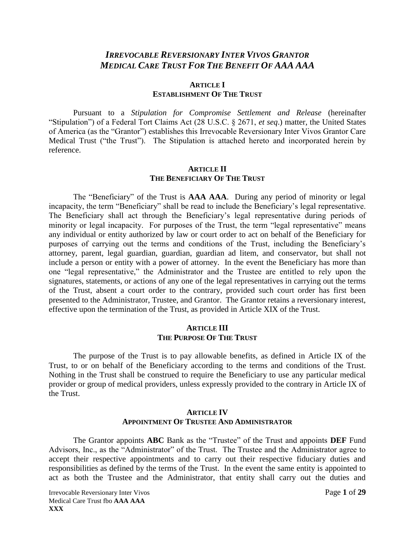## *IRREVOCABLE REVERSIONARY INTER VIVOS GRANTOR MEDICAL CARE TRUST FOR THE BENEFIT OF AAA AAA*

#### **ARTICLE I ESTABLISHMENT OF THE TRUST**

Pursuant to a *Stipulation for Compromise Settlement and Release* (hereinafter "Stipulation") of a Federal Tort Claims Act (28 U.S.C. § 2671, *et seq*.) matter, the United States of America (as the "Grantor") establishes this Irrevocable Reversionary Inter Vivos Grantor Care Medical Trust ("the Trust"). The Stipulation is attached hereto and incorporated herein by reference.

#### **ARTICLE II THE BENEFICIARY OF THE TRUST**

The "Beneficiary" of the Trust is **AAA AAA**. During any period of minority or legal incapacity, the term "Beneficiary" shall be read to include the Beneficiary's legal representative. The Beneficiary shall act through the Beneficiary's legal representative during periods of minority or legal incapacity. For purposes of the Trust, the term "legal representative" means any individual or entity authorized by law or court order to act on behalf of the Beneficiary for purposes of carrying out the terms and conditions of the Trust, including the Beneficiary's attorney, parent, legal guardian, guardian, guardian ad litem, and conservator, but shall not include a person or entity with a power of attorney. In the event the Beneficiary has more than one "legal representative," the Administrator and the Trustee are entitled to rely upon the signatures, statements, or actions of any one of the legal representatives in carrying out the terms of the Trust, absent a court order to the contrary, provided such court order has first been presented to the Administrator, Trustee, and Grantor. The Grantor retains a reversionary interest, effective upon the termination of the Trust, as provided in Article XIX of the Trust.

#### **ARTICLE III THE PURPOSE OF THE TRUST**

The purpose of the Trust is to pay allowable benefits, as defined in Article IX of the Trust, to or on behalf of the Beneficiary according to the terms and conditions of the Trust. Nothing in the Trust shall be construed to require the Beneficiary to use any particular medical provider or group of medical providers, unless expressly provided to the contrary in Article IX of the Trust.

### **ARTICLE IV APPOINTMENT OF TRUSTEE AND ADMINISTRATOR**

The Grantor appoints **ABC** Bank as the "Trustee" of the Trust and appoints **DEF** Fund Advisors, Inc., as the "Administrator" of the Trust. The Trustee and the Administrator agree to accept their respective appointments and to carry out their respective fiduciary duties and responsibilities as defined by the terms of the Trust. In the event the same entity is appointed to act as both the Trustee and the Administrator, that entity shall carry out the duties and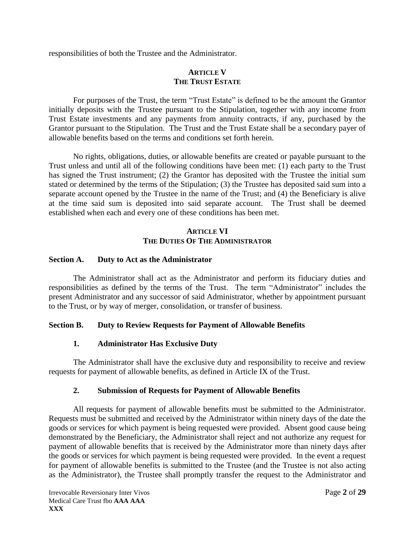responsibilities of both the Trustee and the Administrator.

## **ARTICLE V THE TRUST ESTATE**

For purposes of the Trust, the term "Trust Estate" is defined to be the amount the Grantor initially deposits with the Trustee pursuant to the Stipulation, together with any income from Trust Estate investments and any payments from annuity contracts, if any, purchased by the Grantor pursuant to the Stipulation. The Trust and the Trust Estate shall be a secondary payer of allowable benefits based on the terms and conditions set forth herein.

No rights, obligations, duties, or allowable benefits are created or payable pursuant to the Trust unless and until all of the following conditions have been met: (1) each party to the Trust has signed the Trust instrument; (2) the Grantor has deposited with the Trustee the initial sum stated or determined by the terms of the Stipulation; (3) the Trustee has deposited said sum into a separate account opened by the Trustee in the name of the Trust; and (4) the Beneficiary is alive at the time said sum is deposited into said separate account. The Trust shall be deemed established when each and every one of these conditions has been met.

### **ARTICLE VI THE DUTIES OF THE ADMINISTRATOR**

#### **Section A. Duty to Act as the Administrator**

The Administrator shall act as the Administrator and perform its fiduciary duties and responsibilities as defined by the terms of the Trust. The term "Administrator" includes the present Administrator and any successor of said Administrator, whether by appointment pursuant to the Trust, or by way of merger, consolidation, or transfer of business.

## **Section B. Duty to Review Requests for Payment of Allowable Benefits**

#### **1. Administrator Has Exclusive Duty**

The Administrator shall have the exclusive duty and responsibility to receive and review requests for payment of allowable benefits, as defined in Article IX of the Trust.

## **2. Submission of Requests for Payment of Allowable Benefits**

All requests for payment of allowable benefits must be submitted to the Administrator. Requests must be submitted and received by the Administrator within ninety days of the date the goods or services for which payment is being requested were provided. Absent good cause being demonstrated by the Beneficiary, the Administrator shall reject and not authorize any request for payment of allowable benefits that is received by the Administrator more than ninety days after the goods or services for which payment is being requested were provided. In the event a request for payment of allowable benefits is submitted to the Trustee (and the Trustee is not also acting as the Administrator), the Trustee shall promptly transfer the request to the Administrator and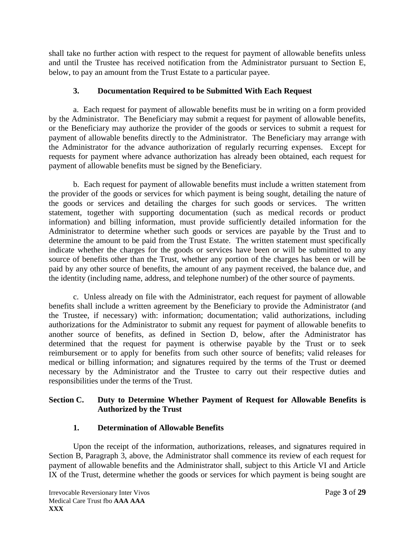shall take no further action with respect to the request for payment of allowable benefits unless and until the Trustee has received notification from the Administrator pursuant to Section E, below, to pay an amount from the Trust Estate to a particular payee.

## **3. Documentation Required to be Submitted With Each Request**

a. Each request for payment of allowable benefits must be in writing on a form provided by the Administrator. The Beneficiary may submit a request for payment of allowable benefits, or the Beneficiary may authorize the provider of the goods or services to submit a request for payment of allowable benefits directly to the Administrator. The Beneficiary may arrange with the Administrator for the advance authorization of regularly recurring expenses. Except for requests for payment where advance authorization has already been obtained, each request for payment of allowable benefits must be signed by the Beneficiary.

b. Each request for payment of allowable benefits must include a written statement from the provider of the goods or services for which payment is being sought, detailing the nature of the goods or services and detailing the charges for such goods or services. The written statement, together with supporting documentation (such as medical records or product information) and billing information, must provide sufficiently detailed information for the Administrator to determine whether such goods or services are payable by the Trust and to determine the amount to be paid from the Trust Estate. The written statement must specifically indicate whether the charges for the goods or services have been or will be submitted to any source of benefits other than the Trust, whether any portion of the charges has been or will be paid by any other source of benefits, the amount of any payment received, the balance due, and the identity (including name, address, and telephone number) of the other source of payments.

c. Unless already on file with the Administrator, each request for payment of allowable benefits shall include a written agreement by the Beneficiary to provide the Administrator (and the Trustee, if necessary) with: information; documentation; valid authorizations, including authorizations for the Administrator to submit any request for payment of allowable benefits to another source of benefits, as defined in Section D, below, after the Administrator has determined that the request for payment is otherwise payable by the Trust or to seek reimbursement or to apply for benefits from such other source of benefits; valid releases for medical or billing information; and signatures required by the terms of the Trust or deemed necessary by the Administrator and the Trustee to carry out their respective duties and responsibilities under the terms of the Trust.

## **Section C. Duty to Determine Whether Payment of Request for Allowable Benefits is Authorized by the Trust**

## **1. Determination of Allowable Benefits**

Upon the receipt of the information, authorizations, releases, and signatures required in Section B, Paragraph 3, above, the Administrator shall commence its review of each request for payment of allowable benefits and the Administrator shall, subject to this Article VI and Article IX of the Trust, determine whether the goods or services for which payment is being sought are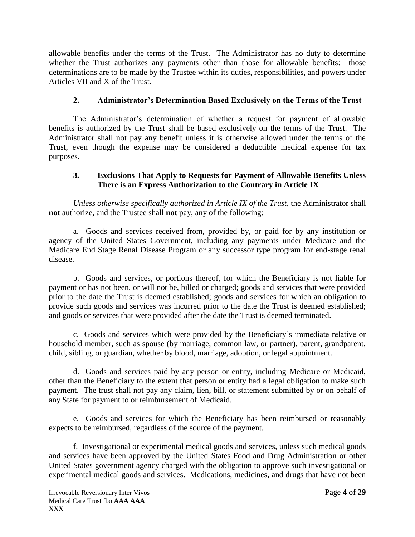allowable benefits under the terms of the Trust. The Administrator has no duty to determine whether the Trust authorizes any payments other than those for allowable benefits: those determinations are to be made by the Trustee within its duties, responsibilities, and powers under Articles VII and X of the Trust.

## **2. Administrator's Determination Based Exclusively on the Terms of the Trust**

The Administrator's determination of whether a request for payment of allowable benefits is authorized by the Trust shall be based exclusively on the terms of the Trust. The Administrator shall not pay any benefit unless it is otherwise allowed under the terms of the Trust, even though the expense may be considered a deductible medical expense for tax purposes.

## **3. Exclusions That Apply to Requests for Payment of Allowable Benefits Unless There is an Express Authorization to the Contrary in Article IX**

*Unless otherwise specifically authorized in Article IX of the Trust*, the Administrator shall **not** authorize, and the Trustee shall **not** pay, any of the following:

a. Goods and services received from, provided by, or paid for by any institution or agency of the United States Government, including any payments under Medicare and the Medicare End Stage Renal Disease Program or any successor type program for end-stage renal disease.

b. Goods and services, or portions thereof, for which the Beneficiary is not liable for payment or has not been, or will not be, billed or charged; goods and services that were provided prior to the date the Trust is deemed established; goods and services for which an obligation to provide such goods and services was incurred prior to the date the Trust is deemed established; and goods or services that were provided after the date the Trust is deemed terminated.

c. Goods and services which were provided by the Beneficiary's immediate relative or household member, such as spouse (by marriage, common law, or partner), parent, grandparent, child, sibling, or guardian, whether by blood, marriage, adoption, or legal appointment.

d. Goods and services paid by any person or entity, including Medicare or Medicaid, other than the Beneficiary to the extent that person or entity had a legal obligation to make such payment. The trust shall not pay any claim, lien, bill, or statement submitted by or on behalf of any State for payment to or reimbursement of Medicaid.

e. Goods and services for which the Beneficiary has been reimbursed or reasonably expects to be reimbursed, regardless of the source of the payment.

f. Investigational or experimental medical goods and services, unless such medical goods and services have been approved by the United States Food and Drug Administration or other United States government agency charged with the obligation to approve such investigational or experimental medical goods and services. Medications, medicines, and drugs that have not been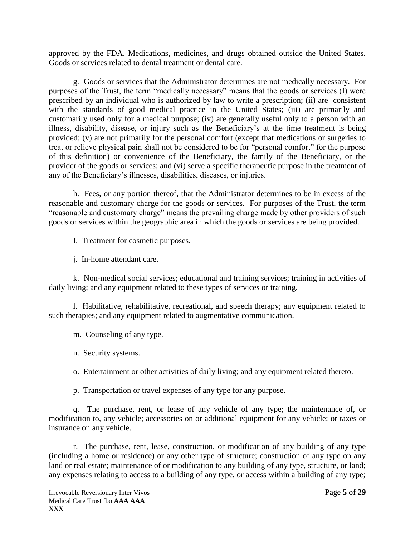approved by the FDA. Medications, medicines, and drugs obtained outside the United States. Goods or services related to dental treatment or dental care.

g. Goods or services that the Administrator determines are not medically necessary. For purposes of the Trust, the term "medically necessary" means that the goods or services (I) were prescribed by an individual who is authorized by law to write a prescription; (ii) are consistent with the standards of good medical practice in the United States; (iii) are primarily and customarily used only for a medical purpose; (iv) are generally useful only to a person with an illness, disability, disease, or injury such as the Beneficiary's at the time treatment is being provided; (v) are not primarily for the personal comfort (except that medications or surgeries to treat or relieve physical pain shall not be considered to be for "personal comfort" for the purpose of this definition) or convenience of the Beneficiary, the family of the Beneficiary, or the provider of the goods or services; and (vi) serve a specific therapeutic purpose in the treatment of any of the Beneficiary's illnesses, disabilities, diseases, or injuries.

h. Fees, or any portion thereof, that the Administrator determines to be in excess of the reasonable and customary charge for the goods or services. For purposes of the Trust, the term "reasonable and customary charge" means the prevailing charge made by other providers of such goods or services within the geographic area in which the goods or services are being provided.

I. Treatment for cosmetic purposes.

j. In-home attendant care.

k. Non-medical social services; educational and training services; training in activities of daily living; and any equipment related to these types of services or training.

l. Habilitative, rehabilitative, recreational, and speech therapy; any equipment related to such therapies; and any equipment related to augmentative communication.

m. Counseling of any type.

n. Security systems.

o. Entertainment or other activities of daily living; and any equipment related thereto.

p. Transportation or travel expenses of any type for any purpose.

q. The purchase, rent, or lease of any vehicle of any type; the maintenance of, or modification to, any vehicle; accessories on or additional equipment for any vehicle; or taxes or insurance on any vehicle.

r. The purchase, rent, lease, construction, or modification of any building of any type (including a home or residence) or any other type of structure; construction of any type on any land or real estate; maintenance of or modification to any building of any type, structure, or land; any expenses relating to access to a building of any type, or access within a building of any type;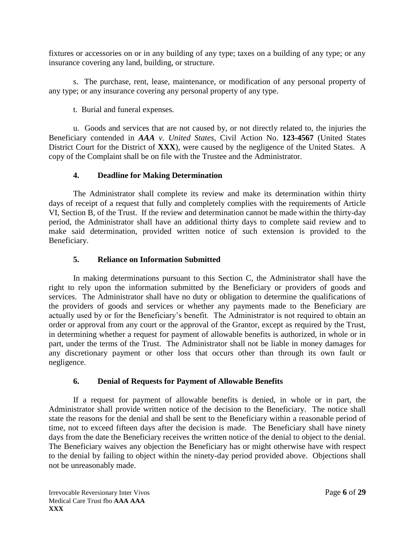fixtures or accessories on or in any building of any type; taxes on a building of any type; or any insurance covering any land, building, or structure.

s. The purchase, rent, lease, maintenance, or modification of any personal property of any type; or any insurance covering any personal property of any type.

t. Burial and funeral expenses.

u. Goods and services that are not caused by, or not directly related to, the injuries the Beneficiary contended in *AAA v. United States*, Civil Action No. **123-4567** (United States District Court for the District of **XXX**), were caused by the negligence of the United States. A copy of the Complaint shall be on file with the Trustee and the Administrator.

## **4. Deadline for Making Determination**

The Administrator shall complete its review and make its determination within thirty days of receipt of a request that fully and completely complies with the requirements of Article VI, Section B, of the Trust. If the review and determination cannot be made within the thirty-day period, the Administrator shall have an additional thirty days to complete said review and to make said determination, provided written notice of such extension is provided to the Beneficiary.

## **5. Reliance on Information Submitted**

In making determinations pursuant to this Section C, the Administrator shall have the right to rely upon the information submitted by the Beneficiary or providers of goods and services. The Administrator shall have no duty or obligation to determine the qualifications of the providers of goods and services or whether any payments made to the Beneficiary are actually used by or for the Beneficiary's benefit. The Administrator is not required to obtain an order or approval from any court or the approval of the Grantor, except as required by the Trust, in determining whether a request for payment of allowable benefits is authorized, in whole or in part, under the terms of the Trust. The Administrator shall not be liable in money damages for any discretionary payment or other loss that occurs other than through its own fault or negligence.

## **6. Denial of Requests for Payment of Allowable Benefits**

If a request for payment of allowable benefits is denied, in whole or in part, the Administrator shall provide written notice of the decision to the Beneficiary. The notice shall state the reasons for the denial and shall be sent to the Beneficiary within a reasonable period of time, not to exceed fifteen days after the decision is made. The Beneficiary shall have ninety days from the date the Beneficiary receives the written notice of the denial to object to the denial. The Beneficiary waives any objection the Beneficiary has or might otherwise have with respect to the denial by failing to object within the ninety-day period provided above. Objections shall not be unreasonably made.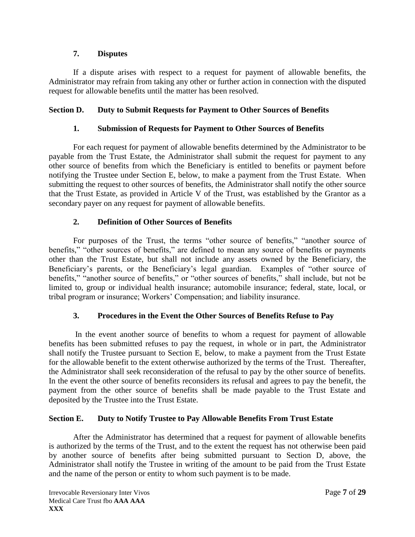## **7. Disputes**

If a dispute arises with respect to a request for payment of allowable benefits, the Administrator may refrain from taking any other or further action in connection with the disputed request for allowable benefits until the matter has been resolved.

## **Section D. Duty to Submit Requests for Payment to Other Sources of Benefits**

### **1. Submission of Requests for Payment to Other Sources of Benefits**

For each request for payment of allowable benefits determined by the Administrator to be payable from the Trust Estate, the Administrator shall submit the request for payment to any other source of benefits from which the Beneficiary is entitled to benefits or payment before notifying the Trustee under Section E, below, to make a payment from the Trust Estate. When submitting the request to other sources of benefits, the Administrator shall notify the other source that the Trust Estate, as provided in Article V of the Trust, was established by the Grantor as a secondary payer on any request for payment of allowable benefits.

## **2. Definition of Other Sources of Benefits**

For purposes of the Trust, the terms "other source of benefits," "another source of benefits," "other sources of benefits," are defined to mean any source of benefits or payments other than the Trust Estate, but shall not include any assets owned by the Beneficiary, the Beneficiary's parents, or the Beneficiary's legal guardian. Examples of "other source of benefits," "another source of benefits," or "other sources of benefits," shall include, but not be limited to, group or individual health insurance; automobile insurance; federal, state, local, or tribal program or insurance; Workers' Compensation; and liability insurance.

#### **3. Procedures in the Event the Other Sources of Benefits Refuse to Pay**

In the event another source of benefits to whom a request for payment of allowable benefits has been submitted refuses to pay the request, in whole or in part, the Administrator shall notify the Trustee pursuant to Section E, below, to make a payment from the Trust Estate for the allowable benefit to the extent otherwise authorized by the terms of the Trust. Thereafter, the Administrator shall seek reconsideration of the refusal to pay by the other source of benefits. In the event the other source of benefits reconsiders its refusal and agrees to pay the benefit, the payment from the other source of benefits shall be made payable to the Trust Estate and deposited by the Trustee into the Trust Estate.

#### **Section E. Duty to Notify Trustee to Pay Allowable Benefits From Trust Estate**

After the Administrator has determined that a request for payment of allowable benefits is authorized by the terms of the Trust, and to the extent the request has not otherwise been paid by another source of benefits after being submitted pursuant to Section D, above, the Administrator shall notify the Trustee in writing of the amount to be paid from the Trust Estate and the name of the person or entity to whom such payment is to be made.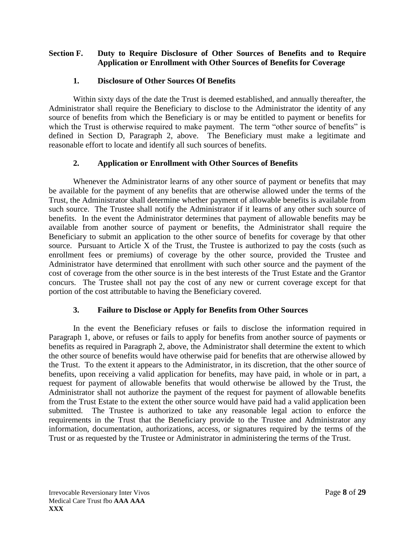## **Section F. Duty to Require Disclosure of Other Sources of Benefits and to Require Application or Enrollment with Other Sources of Benefits for Coverage**

## **1. Disclosure of Other Sources Of Benefits**

Within sixty days of the date the Trust is deemed established, and annually thereafter, the Administrator shall require the Beneficiary to disclose to the Administrator the identity of any source of benefits from which the Beneficiary is or may be entitled to payment or benefits for which the Trust is otherwise required to make payment. The term "other source of benefits" is defined in Section D, Paragraph 2, above. The Beneficiary must make a legitimate and reasonable effort to locate and identify all such sources of benefits.

### **2. Application or Enrollment with Other Sources of Benefits**

Whenever the Administrator learns of any other source of payment or benefits that may be available for the payment of any benefits that are otherwise allowed under the terms of the Trust, the Administrator shall determine whether payment of allowable benefits is available from such source. The Trustee shall notify the Administrator if it learns of any other such source of benefits. In the event the Administrator determines that payment of allowable benefits may be available from another source of payment or benefits, the Administrator shall require the Beneficiary to submit an application to the other source of benefits for coverage by that other source. Pursuant to Article X of the Trust, the Trustee is authorized to pay the costs (such as enrollment fees or premiums) of coverage by the other source, provided the Trustee and Administrator have determined that enrollment with such other source and the payment of the cost of coverage from the other source is in the best interests of the Trust Estate and the Grantor concurs. The Trustee shall not pay the cost of any new or current coverage except for that portion of the cost attributable to having the Beneficiary covered.

## **3. Failure to Disclose or Apply for Benefits from Other Sources**

In the event the Beneficiary refuses or fails to disclose the information required in Paragraph 1, above, or refuses or fails to apply for benefits from another source of payments or benefits as required in Paragraph 2, above, the Administrator shall determine the extent to which the other source of benefits would have otherwise paid for benefits that are otherwise allowed by the Trust. To the extent it appears to the Administrator, in its discretion, that the other source of benefits, upon receiving a valid application for benefits, may have paid, in whole or in part, a request for payment of allowable benefits that would otherwise be allowed by the Trust, the Administrator shall not authorize the payment of the request for payment of allowable benefits from the Trust Estate to the extent the other source would have paid had a valid application been submitted. The Trustee is authorized to take any reasonable legal action to enforce the requirements in the Trust that the Beneficiary provide to the Trustee and Administrator any information, documentation, authorizations, access, or signatures required by the terms of the Trust or as requested by the Trustee or Administrator in administering the terms of the Trust.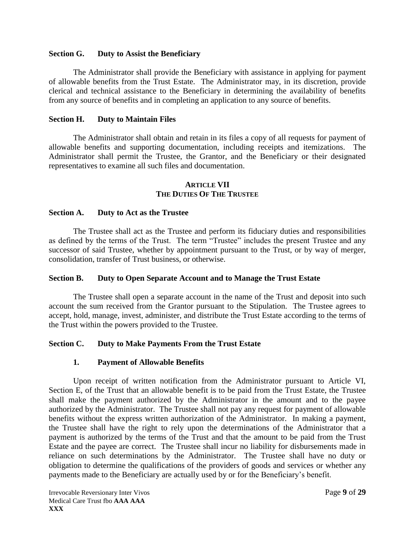### **Section G. Duty to Assist the Beneficiary**

The Administrator shall provide the Beneficiary with assistance in applying for payment of allowable benefits from the Trust Estate. The Administrator may, in its discretion, provide clerical and technical assistance to the Beneficiary in determining the availability of benefits from any source of benefits and in completing an application to any source of benefits.

## **Section H. Duty to Maintain Files**

The Administrator shall obtain and retain in its files a copy of all requests for payment of allowable benefits and supporting documentation, including receipts and itemizations. The Administrator shall permit the Trustee, the Grantor, and the Beneficiary or their designated representatives to examine all such files and documentation.

#### **ARTICLE VII THE DUTIES OF THE TRUSTEE**

### **Section A. Duty to Act as the Trustee**

The Trustee shall act as the Trustee and perform its fiduciary duties and responsibilities as defined by the terms of the Trust. The term "Trustee" includes the present Trustee and any successor of said Trustee, whether by appointment pursuant to the Trust, or by way of merger, consolidation, transfer of Trust business, or otherwise.

#### **Section B. Duty to Open Separate Account and to Manage the Trust Estate**

The Trustee shall open a separate account in the name of the Trust and deposit into such account the sum received from the Grantor pursuant to the Stipulation. The Trustee agrees to accept, hold, manage, invest, administer, and distribute the Trust Estate according to the terms of the Trust within the powers provided to the Trustee.

## **Section C. Duty to Make Payments From the Trust Estate**

#### **1. Payment of Allowable Benefits**

Upon receipt of written notification from the Administrator pursuant to Article VI, Section E, of the Trust that an allowable benefit is to be paid from the Trust Estate, the Trustee shall make the payment authorized by the Administrator in the amount and to the payee authorized by the Administrator. The Trustee shall not pay any request for payment of allowable benefits without the express written authorization of the Administrator. In making a payment, the Trustee shall have the right to rely upon the determinations of the Administrator that a payment is authorized by the terms of the Trust and that the amount to be paid from the Trust Estate and the payee are correct. The Trustee shall incur no liability for disbursements made in reliance on such determinations by the Administrator. The Trustee shall have no duty or obligation to determine the qualifications of the providers of goods and services or whether any payments made to the Beneficiary are actually used by or for the Beneficiary's benefit.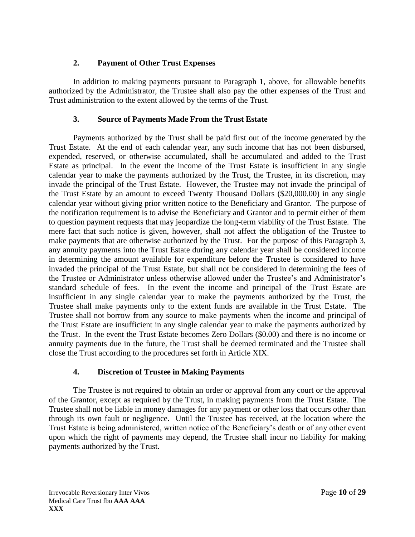## **2. Payment of Other Trust Expenses**

In addition to making payments pursuant to Paragraph 1, above, for allowable benefits authorized by the Administrator, the Trustee shall also pay the other expenses of the Trust and Trust administration to the extent allowed by the terms of the Trust.

## **3. Source of Payments Made From the Trust Estate**

Payments authorized by the Trust shall be paid first out of the income generated by the Trust Estate. At the end of each calendar year, any such income that has not been disbursed, expended, reserved, or otherwise accumulated, shall be accumulated and added to the Trust Estate as principal. In the event the income of the Trust Estate is insufficient in any single calendar year to make the payments authorized by the Trust, the Trustee, in its discretion, may invade the principal of the Trust Estate. However, the Trustee may not invade the principal of the Trust Estate by an amount to exceed Twenty Thousand Dollars (\$20,000.00) in any single calendar year without giving prior written notice to the Beneficiary and Grantor. The purpose of the notification requirement is to advise the Beneficiary and Grantor and to permit either of them to question payment requests that may jeopardize the long-term viability of the Trust Estate. The mere fact that such notice is given, however, shall not affect the obligation of the Trustee to make payments that are otherwise authorized by the Trust. For the purpose of this Paragraph 3, any annuity payments into the Trust Estate during any calendar year shall be considered income in determining the amount available for expenditure before the Trustee is considered to have invaded the principal of the Trust Estate, but shall not be considered in determining the fees of the Trustee or Administrator unless otherwise allowed under the Trustee's and Administrator's standard schedule of fees. In the event the income and principal of the Trust Estate are insufficient in any single calendar year to make the payments authorized by the Trust, the Trustee shall make payments only to the extent funds are available in the Trust Estate. The Trustee shall not borrow from any source to make payments when the income and principal of the Trust Estate are insufficient in any single calendar year to make the payments authorized by the Trust. In the event the Trust Estate becomes Zero Dollars (\$0.00) and there is no income or annuity payments due in the future, the Trust shall be deemed terminated and the Trustee shall close the Trust according to the procedures set forth in Article XIX.

## **4. Discretion of Trustee in Making Payments**

The Trustee is not required to obtain an order or approval from any court or the approval of the Grantor, except as required by the Trust, in making payments from the Trust Estate. The Trustee shall not be liable in money damages for any payment or other loss that occurs other than through its own fault or negligence. Until the Trustee has received, at the location where the Trust Estate is being administered, written notice of the Beneficiary's death or of any other event upon which the right of payments may depend, the Trustee shall incur no liability for making payments authorized by the Trust.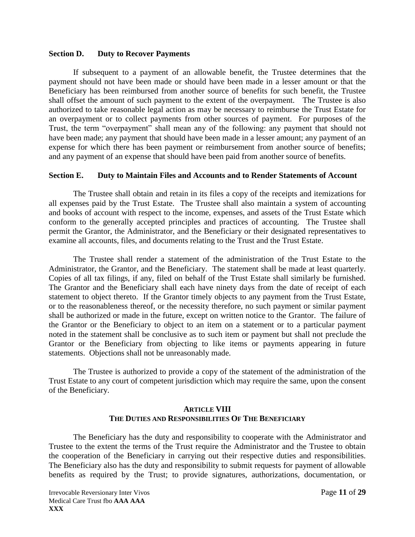#### **Section D. Duty to Recover Payments**

If subsequent to a payment of an allowable benefit, the Trustee determines that the payment should not have been made or should have been made in a lesser amount or that the Beneficiary has been reimbursed from another source of benefits for such benefit, the Trustee shall offset the amount of such payment to the extent of the overpayment. The Trustee is also authorized to take reasonable legal action as may be necessary to reimburse the Trust Estate for an overpayment or to collect payments from other sources of payment. For purposes of the Trust, the term "overpayment" shall mean any of the following: any payment that should not have been made; any payment that should have been made in a lesser amount; any payment of an expense for which there has been payment or reimbursement from another source of benefits; and any payment of an expense that should have been paid from another source of benefits.

#### **Section E. Duty to Maintain Files and Accounts and to Render Statements of Account**

The Trustee shall obtain and retain in its files a copy of the receipts and itemizations for all expenses paid by the Trust Estate. The Trustee shall also maintain a system of accounting and books of account with respect to the income, expenses, and assets of the Trust Estate which conform to the generally accepted principles and practices of accounting. The Trustee shall permit the Grantor, the Administrator, and the Beneficiary or their designated representatives to examine all accounts, files, and documents relating to the Trust and the Trust Estate.

The Trustee shall render a statement of the administration of the Trust Estate to the Administrator, the Grantor, and the Beneficiary. The statement shall be made at least quarterly. Copies of all tax filings, if any, filed on behalf of the Trust Estate shall similarly be furnished. The Grantor and the Beneficiary shall each have ninety days from the date of receipt of each statement to object thereto. If the Grantor timely objects to any payment from the Trust Estate, or to the reasonableness thereof, or the necessity therefore, no such payment or similar payment shall be authorized or made in the future, except on written notice to the Grantor. The failure of the Grantor or the Beneficiary to object to an item on a statement or to a particular payment noted in the statement shall be conclusive as to such item or payment but shall not preclude the Grantor or the Beneficiary from objecting to like items or payments appearing in future statements. Objections shall not be unreasonably made.

The Trustee is authorized to provide a copy of the statement of the administration of the Trust Estate to any court of competent jurisdiction which may require the same, upon the consent of the Beneficiary.

#### **ARTICLE VIII THE DUTIES AND RESPONSIBILITIES OF THE BENEFICIARY**

The Beneficiary has the duty and responsibility to cooperate with the Administrator and Trustee to the extent the terms of the Trust require the Administrator and the Trustee to obtain the cooperation of the Beneficiary in carrying out their respective duties and responsibilities. The Beneficiary also has the duty and responsibility to submit requests for payment of allowable benefits as required by the Trust; to provide signatures, authorizations, documentation, or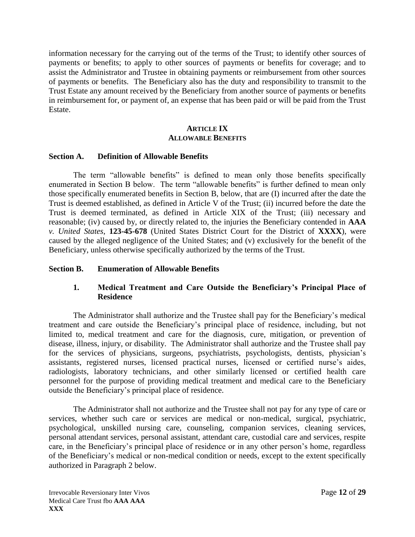information necessary for the carrying out of the terms of the Trust; to identify other sources of payments or benefits; to apply to other sources of payments or benefits for coverage; and to assist the Administrator and Trustee in obtaining payments or reimbursement from other sources of payments or benefits. The Beneficiary also has the duty and responsibility to transmit to the Trust Estate any amount received by the Beneficiary from another source of payments or benefits in reimbursement for, or payment of, an expense that has been paid or will be paid from the Trust Estate.

### **ARTICLE IX ALLOWABLE BENEFITS**

#### **Section A. Definition of Allowable Benefits**

The term "allowable benefits" is defined to mean only those benefits specifically enumerated in Section B below. The term "allowable benefits" is further defined to mean only those specifically enumerated benefits in Section B, below, that are (I) incurred after the date the Trust is deemed established, as defined in Article V of the Trust; (ii) incurred before the date the Trust is deemed terminated, as defined in Article XIX of the Trust; (iii) necessary and reasonable; (iv) caused by, or directly related to, the injuries the Beneficiary contended in **AAA** *v. United States*, **123-45-678** (United States District Court for the District of **XXXX**), were caused by the alleged negligence of the United States; and (v) exclusively for the benefit of the Beneficiary, unless otherwise specifically authorized by the terms of the Trust.

#### **Section B. Enumeration of Allowable Benefits**

### **1. Medical Treatment and Care Outside the Beneficiary's Principal Place of Residence**

The Administrator shall authorize and the Trustee shall pay for the Beneficiary's medical treatment and care outside the Beneficiary's principal place of residence, including, but not limited to, medical treatment and care for the diagnosis, cure, mitigation, or prevention of disease, illness, injury, or disability. The Administrator shall authorize and the Trustee shall pay for the services of physicians, surgeons, psychiatrists, psychologists, dentists, physician's assistants, registered nurses, licensed practical nurses, licensed or certified nurse's aides, radiologists, laboratory technicians, and other similarly licensed or certified health care personnel for the purpose of providing medical treatment and medical care to the Beneficiary outside the Beneficiary's principal place of residence.

The Administrator shall not authorize and the Trustee shall not pay for any type of care or services, whether such care or services are medical or non-medical, surgical, psychiatric, psychological, unskilled nursing care, counseling, companion services, cleaning services, personal attendant services, personal assistant, attendant care, custodial care and services, respite care, in the Beneficiary's principal place of residence or in any other person's home, regardless of the Beneficiary's medical or non-medical condition or needs, except to the extent specifically authorized in Paragraph 2 below.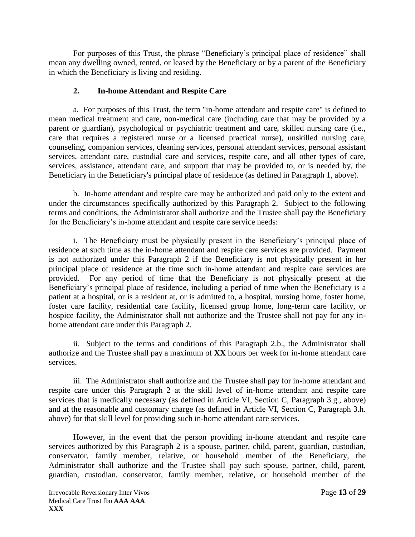For purposes of this Trust, the phrase "Beneficiary's principal place of residence" shall mean any dwelling owned, rented, or leased by the Beneficiary or by a parent of the Beneficiary in which the Beneficiary is living and residing.

## **2. In-home Attendant and Respite Care**

a. For purposes of this Trust, the term "in-home attendant and respite care" is defined to mean medical treatment and care, non-medical care (including care that may be provided by a parent or guardian), psychological or psychiatric treatment and care, skilled nursing care (i.e., care that requires a registered nurse or a licensed practical nurse), unskilled nursing care, counseling, companion services, cleaning services, personal attendant services, personal assistant services, attendant care, custodial care and services, respite care, and all other types of care, services, assistance, attendant care, and support that may be provided to, or is needed by, the Beneficiary in the Beneficiary's principal place of residence (as defined in Paragraph 1, above).

b. In-home attendant and respite care may be authorized and paid only to the extent and under the circumstances specifically authorized by this Paragraph 2. Subject to the following terms and conditions, the Administrator shall authorize and the Trustee shall pay the Beneficiary for the Beneficiary's in-home attendant and respite care service needs:

i. The Beneficiary must be physically present in the Beneficiary's principal place of residence at such time as the in-home attendant and respite care services are provided. Payment is not authorized under this Paragraph 2 if the Beneficiary is not physically present in her principal place of residence at the time such in-home attendant and respite care services are provided. For any period of time that the Beneficiary is not physically present at the Beneficiary's principal place of residence, including a period of time when the Beneficiary is a patient at a hospital, or is a resident at, or is admitted to, a hospital, nursing home, foster home, foster care facility, residential care facility, licensed group home, long-term care facility, or hospice facility, the Administrator shall not authorize and the Trustee shall not pay for any inhome attendant care under this Paragraph 2.

ii. Subject to the terms and conditions of this Paragraph 2.b., the Administrator shall authorize and the Trustee shall pay a maximum of **XX** hours per week for in-home attendant care services.

iii. The Administrator shall authorize and the Trustee shall pay for in-home attendant and respite care under this Paragraph 2 at the skill level of in-home attendant and respite care services that is medically necessary (as defined in Article VI, Section C, Paragraph 3.g., above) and at the reasonable and customary charge (as defined in Article VI, Section C, Paragraph 3.h. above) for that skill level for providing such in-home attendant care services.

However, in the event that the person providing in-home attendant and respite care services authorized by this Paragraph 2 is a spouse, partner, child, parent, guardian, custodian, conservator, family member, relative, or household member of the Beneficiary, the Administrator shall authorize and the Trustee shall pay such spouse, partner, child, parent, guardian, custodian, conservator, family member, relative, or household member of the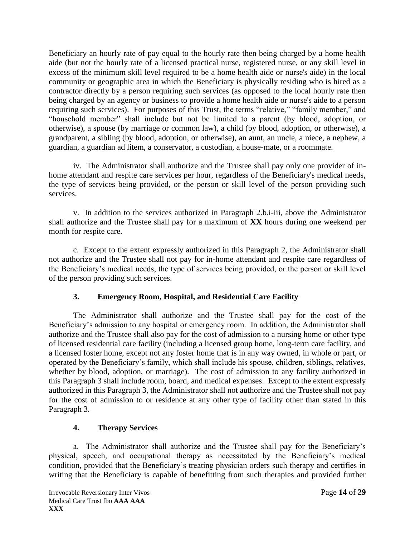Beneficiary an hourly rate of pay equal to the hourly rate then being charged by a home health aide (but not the hourly rate of a licensed practical nurse, registered nurse, or any skill level in excess of the minimum skill level required to be a home health aide or nurse's aide) in the local community or geographic area in which the Beneficiary is physically residing who is hired as a contractor directly by a person requiring such services (as opposed to the local hourly rate then being charged by an agency or business to provide a home health aide or nurse's aide to a person requiring such services). For purposes of this Trust, the terms "relative," "family member," and "household member" shall include but not be limited to a parent (by blood, adoption, or otherwise), a spouse (by marriage or common law), a child (by blood, adoption, or otherwise), a grandparent, a sibling (by blood, adoption, or otherwise), an aunt, an uncle, a niece, a nephew, a guardian, a guardian ad litem, a conservator, a custodian, a house-mate, or a roommate.

iv. The Administrator shall authorize and the Trustee shall pay only one provider of inhome attendant and respite care services per hour, regardless of the Beneficiary's medical needs, the type of services being provided, or the person or skill level of the person providing such services.

v. In addition to the services authorized in Paragraph 2.b.i-iii, above the Administrator shall authorize and the Trustee shall pay for a maximum of **XX** hours during one weekend per month for respite care.

c. Except to the extent expressly authorized in this Paragraph 2, the Administrator shall not authorize and the Trustee shall not pay for in-home attendant and respite care regardless of the Beneficiary's medical needs, the type of services being provided, or the person or skill level of the person providing such services.

## **3. Emergency Room, Hospital, and Residential Care Facility**

The Administrator shall authorize and the Trustee shall pay for the cost of the Beneficiary's admission to any hospital or emergency room. In addition, the Administrator shall authorize and the Trustee shall also pay for the cost of admission to a nursing home or other type of licensed residential care facility (including a licensed group home, long-term care facility, and a licensed foster home, except not any foster home that is in any way owned, in whole or part, or operated by the Beneficiary's family, which shall include his spouse, children, siblings, relatives, whether by blood, adoption, or marriage). The cost of admission to any facility authorized in this Paragraph 3 shall include room, board, and medical expenses. Except to the extent expressly authorized in this Paragraph 3, the Administrator shall not authorize and the Trustee shall not pay for the cost of admission to or residence at any other type of facility other than stated in this Paragraph 3.

## **4. Therapy Services**

a. The Administrator shall authorize and the Trustee shall pay for the Beneficiary's physical, speech, and occupational therapy as necessitated by the Beneficiary's medical condition, provided that the Beneficiary's treating physician orders such therapy and certifies in writing that the Beneficiary is capable of benefitting from such therapies and provided further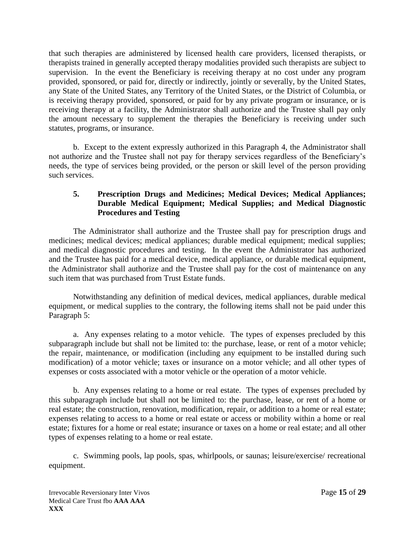that such therapies are administered by licensed health care providers, licensed therapists, or therapists trained in generally accepted therapy modalities provided such therapists are subject to supervision. In the event the Beneficiary is receiving therapy at no cost under any program provided, sponsored, or paid for, directly or indirectly, jointly or severally, by the United States, any State of the United States, any Territory of the United States, or the District of Columbia, or is receiving therapy provided, sponsored, or paid for by any private program or insurance, or is receiving therapy at a facility, the Administrator shall authorize and the Trustee shall pay only the amount necessary to supplement the therapies the Beneficiary is receiving under such statutes, programs, or insurance.

b. Except to the extent expressly authorized in this Paragraph 4, the Administrator shall not authorize and the Trustee shall not pay for therapy services regardless of the Beneficiary's needs, the type of services being provided, or the person or skill level of the person providing such services.

## **5. Prescription Drugs and Medicines; Medical Devices; Medical Appliances; Durable Medical Equipment; Medical Supplies; and Medical Diagnostic Procedures and Testing**

The Administrator shall authorize and the Trustee shall pay for prescription drugs and medicines; medical devices; medical appliances; durable medical equipment; medical supplies; and medical diagnostic procedures and testing. In the event the Administrator has authorized and the Trustee has paid for a medical device, medical appliance, or durable medical equipment, the Administrator shall authorize and the Trustee shall pay for the cost of maintenance on any such item that was purchased from Trust Estate funds.

Notwithstanding any definition of medical devices, medical appliances, durable medical equipment, or medical supplies to the contrary, the following items shall not be paid under this Paragraph 5:

a. Any expenses relating to a motor vehicle. The types of expenses precluded by this subparagraph include but shall not be limited to: the purchase, lease, or rent of a motor vehicle; the repair, maintenance, or modification (including any equipment to be installed during such modification) of a motor vehicle; taxes or insurance on a motor vehicle; and all other types of expenses or costs associated with a motor vehicle or the operation of a motor vehicle.

b. Any expenses relating to a home or real estate. The types of expenses precluded by this subparagraph include but shall not be limited to: the purchase, lease, or rent of a home or real estate; the construction, renovation, modification, repair, or addition to a home or real estate; expenses relating to access to a home or real estate or access or mobility within a home or real estate; fixtures for a home or real estate; insurance or taxes on a home or real estate; and all other types of expenses relating to a home or real estate.

c. Swimming pools, lap pools, spas, whirlpools, or saunas; leisure/exercise/ recreational equipment.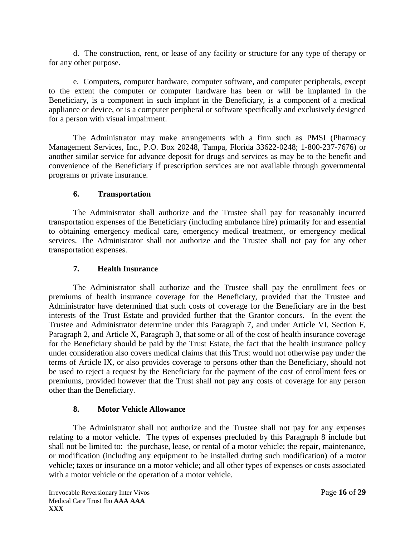d. The construction, rent, or lease of any facility or structure for any type of therapy or for any other purpose.

e. Computers, computer hardware, computer software, and computer peripherals, except to the extent the computer or computer hardware has been or will be implanted in the Beneficiary, is a component in such implant in the Beneficiary, is a component of a medical appliance or device, or is a computer peripheral or software specifically and exclusively designed for a person with visual impairment.

The Administrator may make arrangements with a firm such as PMSI (Pharmacy Management Services, Inc., P.O. Box 20248, Tampa, Florida 33622-0248; 1-800-237-7676) or another similar service for advance deposit for drugs and services as may be to the benefit and convenience of the Beneficiary if prescription services are not available through governmental programs or private insurance.

## **6. Transportation**

The Administrator shall authorize and the Trustee shall pay for reasonably incurred transportation expenses of the Beneficiary (including ambulance hire) primarily for and essential to obtaining emergency medical care, emergency medical treatment, or emergency medical services. The Administrator shall not authorize and the Trustee shall not pay for any other transportation expenses.

## **7. Health Insurance**

The Administrator shall authorize and the Trustee shall pay the enrollment fees or premiums of health insurance coverage for the Beneficiary, provided that the Trustee and Administrator have determined that such costs of coverage for the Beneficiary are in the best interests of the Trust Estate and provided further that the Grantor concurs. In the event the Trustee and Administrator determine under this Paragraph 7, and under Article VI, Section F, Paragraph 2, and Article X, Paragraph 3, that some or all of the cost of health insurance coverage for the Beneficiary should be paid by the Trust Estate, the fact that the health insurance policy under consideration also covers medical claims that this Trust would not otherwise pay under the terms of Article IX, or also provides coverage to persons other than the Beneficiary, should not be used to reject a request by the Beneficiary for the payment of the cost of enrollment fees or premiums, provided however that the Trust shall not pay any costs of coverage for any person other than the Beneficiary.

## **8. Motor Vehicle Allowance**

The Administrator shall not authorize and the Trustee shall not pay for any expenses relating to a motor vehicle. The types of expenses precluded by this Paragraph 8 include but shall not be limited to: the purchase, lease, or rental of a motor vehicle; the repair, maintenance, or modification (including any equipment to be installed during such modification) of a motor vehicle; taxes or insurance on a motor vehicle; and all other types of expenses or costs associated with a motor vehicle or the operation of a motor vehicle.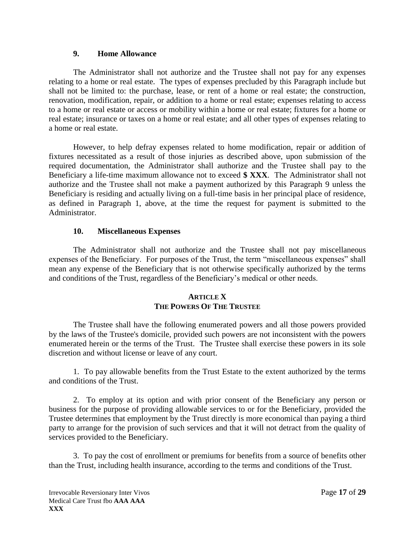#### **9. Home Allowance**

The Administrator shall not authorize and the Trustee shall not pay for any expenses relating to a home or real estate. The types of expenses precluded by this Paragraph include but shall not be limited to: the purchase, lease, or rent of a home or real estate; the construction, renovation, modification, repair, or addition to a home or real estate; expenses relating to access to a home or real estate or access or mobility within a home or real estate; fixtures for a home or real estate; insurance or taxes on a home or real estate; and all other types of expenses relating to a home or real estate.

However, to help defray expenses related to home modification, repair or addition of fixtures necessitated as a result of those injuries as described above, upon submission of the required documentation, the Administrator shall authorize and the Trustee shall pay to the Beneficiary a life-time maximum allowance not to exceed **\$ XXX**. The Administrator shall not authorize and the Trustee shall not make a payment authorized by this Paragraph 9 unless the Beneficiary is residing and actually living on a full-time basis in her principal place of residence, as defined in Paragraph 1, above, at the time the request for payment is submitted to the Administrator.

## **10. Miscellaneous Expenses**

The Administrator shall not authorize and the Trustee shall not pay miscellaneous expenses of the Beneficiary. For purposes of the Trust, the term "miscellaneous expenses" shall mean any expense of the Beneficiary that is not otherwise specifically authorized by the terms and conditions of the Trust, regardless of the Beneficiary's medical or other needs.

## **ARTICLE X THE POWERS OF THE TRUSTEE**

The Trustee shall have the following enumerated powers and all those powers provided by the laws of the Trustee's domicile, provided such powers are not inconsistent with the powers enumerated herein or the terms of the Trust. The Trustee shall exercise these powers in its sole discretion and without license or leave of any court.

1. To pay allowable benefits from the Trust Estate to the extent authorized by the terms and conditions of the Trust.

2. To employ at its option and with prior consent of the Beneficiary any person or business for the purpose of providing allowable services to or for the Beneficiary, provided the Trustee determines that employment by the Trust directly is more economical than paying a third party to arrange for the provision of such services and that it will not detract from the quality of services provided to the Beneficiary.

3. To pay the cost of enrollment or premiums for benefits from a source of benefits other than the Trust, including health insurance, according to the terms and conditions of the Trust.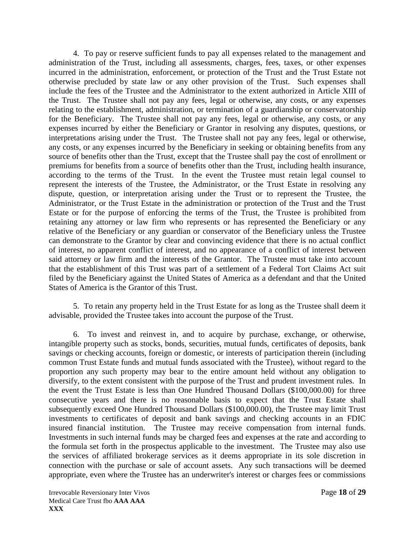4. To pay or reserve sufficient funds to pay all expenses related to the management and administration of the Trust, including all assessments, charges, fees, taxes, or other expenses incurred in the administration, enforcement, or protection of the Trust and the Trust Estate not otherwise precluded by state law or any other provision of the Trust. Such expenses shall include the fees of the Trustee and the Administrator to the extent authorized in Article XIII of the Trust. The Trustee shall not pay any fees, legal or otherwise, any costs, or any expenses relating to the establishment, administration, or termination of a guardianship or conservatorship for the Beneficiary. The Trustee shall not pay any fees, legal or otherwise, any costs, or any expenses incurred by either the Beneficiary or Grantor in resolving any disputes, questions, or interpretations arising under the Trust. The Trustee shall not pay any fees, legal or otherwise, any costs, or any expenses incurred by the Beneficiary in seeking or obtaining benefits from any source of benefits other than the Trust, except that the Trustee shall pay the cost of enrollment or premiums for benefits from a source of benefits other than the Trust, including health insurance, according to the terms of the Trust. In the event the Trustee must retain legal counsel to represent the interests of the Trustee, the Administrator, or the Trust Estate in resolving any dispute, question, or interpretation arising under the Trust or to represent the Trustee, the Administrator, or the Trust Estate in the administration or protection of the Trust and the Trust Estate or for the purpose of enforcing the terms of the Trust, the Trustee is prohibited from retaining any attorney or law firm who represents or has represented the Beneficiary or any relative of the Beneficiary or any guardian or conservator of the Beneficiary unless the Trustee can demonstrate to the Grantor by clear and convincing evidence that there is no actual conflict of interest, no apparent conflict of interest, and no appearance of a conflict of interest between said attorney or law firm and the interests of the Grantor. The Trustee must take into account that the establishment of this Trust was part of a settlement of a Federal Tort Claims Act suit filed by the Beneficiary against the United States of America as a defendant and that the United States of America is the Grantor of this Trust.

5. To retain any property held in the Trust Estate for as long as the Trustee shall deem it advisable, provided the Trustee takes into account the purpose of the Trust.

6. To invest and reinvest in, and to acquire by purchase, exchange, or otherwise, intangible property such as stocks, bonds, securities, mutual funds, certificates of deposits, bank savings or checking accounts, foreign or domestic, or interests of participation therein (including common Trust Estate funds and mutual funds associated with the Trustee), without regard to the proportion any such property may bear to the entire amount held without any obligation to diversify, to the extent consistent with the purpose of the Trust and prudent investment rules. In the event the Trust Estate is less than One Hundred Thousand Dollars (\$100,000.00) for three consecutive years and there is no reasonable basis to expect that the Trust Estate shall subsequently exceed One Hundred Thousand Dollars (\$100,000.00), the Trustee may limit Trust investments to certificates of deposit and bank savings and checking accounts in an FDIC insured financial institution. The Trustee may receive compensation from internal funds. Investments in such internal funds may be charged fees and expenses at the rate and according to the formula set forth in the prospectus applicable to the investment. The Trustee may also use the services of affiliated brokerage services as it deems appropriate in its sole discretion in connection with the purchase or sale of account assets. Any such transactions will be deemed appropriate, even where the Trustee has an underwriter's interest or charges fees or commissions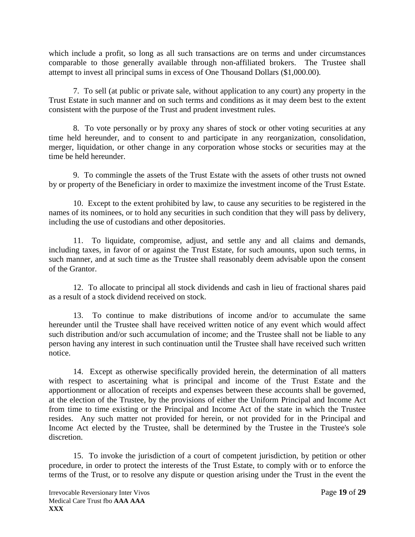which include a profit, so long as all such transactions are on terms and under circumstances comparable to those generally available through non-affiliated brokers. The Trustee shall attempt to invest all principal sums in excess of One Thousand Dollars (\$1,000.00).

7. To sell (at public or private sale, without application to any court) any property in the Trust Estate in such manner and on such terms and conditions as it may deem best to the extent consistent with the purpose of the Trust and prudent investment rules.

8. To vote personally or by proxy any shares of stock or other voting securities at any time held hereunder, and to consent to and participate in any reorganization, consolidation, merger, liquidation, or other change in any corporation whose stocks or securities may at the time be held hereunder.

9. To commingle the assets of the Trust Estate with the assets of other trusts not owned by or property of the Beneficiary in order to maximize the investment income of the Trust Estate.

10. Except to the extent prohibited by law, to cause any securities to be registered in the names of its nominees, or to hold any securities in such condition that they will pass by delivery, including the use of custodians and other depositories.

11. To liquidate, compromise, adjust, and settle any and all claims and demands, including taxes, in favor of or against the Trust Estate, for such amounts, upon such terms, in such manner, and at such time as the Trustee shall reasonably deem advisable upon the consent of the Grantor.

12. To allocate to principal all stock dividends and cash in lieu of fractional shares paid as a result of a stock dividend received on stock.

13. To continue to make distributions of income and/or to accumulate the same hereunder until the Trustee shall have received written notice of any event which would affect such distribution and/or such accumulation of income; and the Trustee shall not be liable to any person having any interest in such continuation until the Trustee shall have received such written notice.

14. Except as otherwise specifically provided herein, the determination of all matters with respect to ascertaining what is principal and income of the Trust Estate and the apportionment or allocation of receipts and expenses between these accounts shall be governed, at the election of the Trustee, by the provisions of either the Uniform Principal and Income Act from time to time existing or the Principal and Income Act of the state in which the Trustee resides. Any such matter not provided for herein, or not provided for in the Principal and Income Act elected by the Trustee, shall be determined by the Trustee in the Trustee's sole discretion.

15. To invoke the jurisdiction of a court of competent jurisdiction, by petition or other procedure, in order to protect the interests of the Trust Estate, to comply with or to enforce the terms of the Trust, or to resolve any dispute or question arising under the Trust in the event the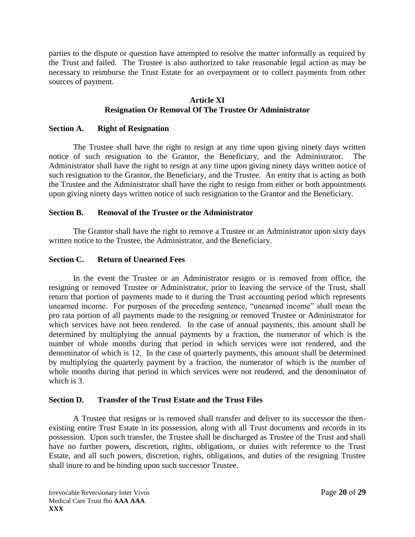parties to the dispute or question have attempted to resolve the matter informally as required by the Trust and failed. The Trustee is also authorized to take reasonable legal action as may be necessary to reimburse the Trust Estate for an overpayment or to collect payments from other sources of payment.

## **Article XI Resignation Or Removal Of The Trustee Or Administrator**

## **Section A. Right of Resignation**

The Trustee shall have the right to resign at any time upon giving ninety days written notice of such resignation to the Grantor, the Beneficiary, and the Administrator. The Administrator shall have the right to resign at any time upon giving ninety days written notice of such resignation to the Grantor, the Beneficiary, and the Trustee. An entity that is acting as both the Trustee and the Administrator shall have the right to resign from either or both appointments upon giving ninety days written notice of such resignation to the Grantor and the Beneficiary.

### **Section B. Removal of the Trustee or the Administrator**

The Grantor shall have the right to remove a Trustee or an Administrator upon sixty days written notice to the Trustee, the Administrator, and the Beneficiary.

### **Section C. Return of Unearned Fees**

In the event the Trustee or an Administrator resigns or is removed from office, the resigning or removed Trustee or Administrator, prior to leaving the service of the Trust, shall return that portion of payments made to it during the Trust accounting period which represents unearned income. For purposes of the preceding sentence, "unearned income" shall mean the pro rata portion of all payments made to the resigning or removed Trustee or Administrator for which services have not been rendered. In the case of annual payments, this amount shall be determined by multiplying the annual payments by a fraction, the numerator of which is the number of whole months during that period in which services were not rendered, and the denominator of which is 12. In the case of quarterly payments, this amount shall be determined by multiplying the quarterly payment by a fraction, the numerator of which is the number of whole months during that period in which services were not rendered, and the denominator of which is 3.

#### **Section D. Transfer of the Trust Estate and the Trust Files**

A Trustee that resigns or is removed shall transfer and deliver to its successor the thenexisting entire Trust Estate in its possession, along with all Trust documents and records in its possession. Upon such transfer, the Trustee shall be discharged as Trustee of the Trust and shall have no further powers, discretion, rights, obligations, or duties with reference to the Trust Estate, and all such powers, discretion, rights, obligations, and duties of the resigning Trustee shall inure to and be binding upon such successor Trustee.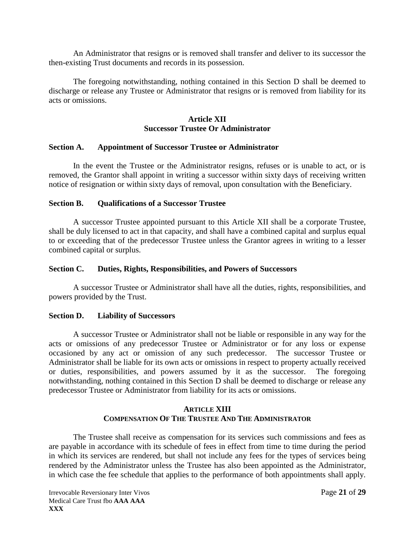An Administrator that resigns or is removed shall transfer and deliver to its successor the then-existing Trust documents and records in its possession.

The foregoing notwithstanding, nothing contained in this Section D shall be deemed to discharge or release any Trustee or Administrator that resigns or is removed from liability for its acts or omissions.

## **Article XII Successor Trustee Or Administrator**

#### **Section A. Appointment of Successor Trustee or Administrator**

In the event the Trustee or the Administrator resigns, refuses or is unable to act, or is removed, the Grantor shall appoint in writing a successor within sixty days of receiving written notice of resignation or within sixty days of removal, upon consultation with the Beneficiary.

#### **Section B. Qualifications of a Successor Trustee**

A successor Trustee appointed pursuant to this Article XII shall be a corporate Trustee, shall be duly licensed to act in that capacity, and shall have a combined capital and surplus equal to or exceeding that of the predecessor Trustee unless the Grantor agrees in writing to a lesser combined capital or surplus.

#### **Section C. Duties, Rights, Responsibilities, and Powers of Successors**

A successor Trustee or Administrator shall have all the duties, rights, responsibilities, and powers provided by the Trust.

#### **Section D. Liability of Successors**

A successor Trustee or Administrator shall not be liable or responsible in any way for the acts or omissions of any predecessor Trustee or Administrator or for any loss or expense occasioned by any act or omission of any such predecessor. The successor Trustee or Administrator shall be liable for its own acts or omissions in respect to property actually received or duties, responsibilities, and powers assumed by it as the successor. The foregoing notwithstanding, nothing contained in this Section D shall be deemed to discharge or release any predecessor Trustee or Administrator from liability for its acts or omissions.

### **ARTICLE XIII COMPENSATION OF THE TRUSTEE AND THE ADMINISTRATOR**

The Trustee shall receive as compensation for its services such commissions and fees as are payable in accordance with its schedule of fees in effect from time to time during the period in which its services are rendered, but shall not include any fees for the types of services being rendered by the Administrator unless the Trustee has also been appointed as the Administrator, in which case the fee schedule that applies to the performance of both appointments shall apply.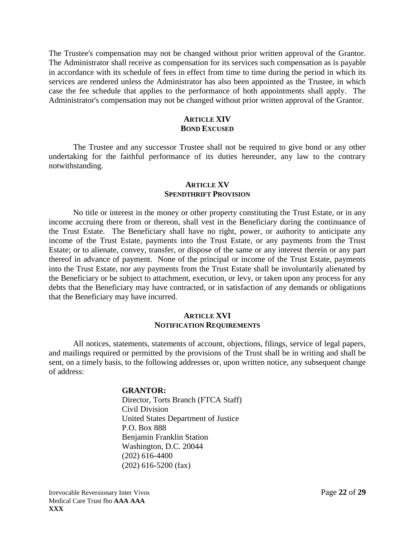The Trustee's compensation may not be changed without prior written approval of the Grantor. The Administrator shall receive as compensation for its services such compensation as is payable in accordance with its schedule of fees in effect from time to time during the period in which its services are rendered unless the Administrator has also been appointed as the Trustee, in which case the fee schedule that applies to the performance of both appointments shall apply. The Administrator's compensation may not be changed without prior written approval of the Grantor.

## **ARTICLE XIV BOND EXCUSED**

The Trustee and any successor Trustee shall not be required to give bond or any other undertaking for the faithful performance of its duties hereunder, any law to the contrary notwithstanding.

#### **ARTICLE XV SPENDTHRIFT PROVISION**

No title or interest in the money or other property constituting the Trust Estate, or in any income accruing there from or thereon, shall vest in the Beneficiary during the continuance of the Trust Estate. The Beneficiary shall have no right, power, or authority to anticipate any income of the Trust Estate, payments into the Trust Estate, or any payments from the Trust Estate; or to alienate, convey, transfer, or dispose of the same or any interest therein or any part thereof in advance of payment. None of the principal or income of the Trust Estate, payments into the Trust Estate, nor any payments from the Trust Estate shall be involuntarily alienated by the Beneficiary or be subject to attachment, execution, or levy, or taken upon any process for any debts that the Beneficiary may have contracted, or in satisfaction of any demands or obligations that the Beneficiary may have incurred.

#### **ARTICLE XVI NOTIFICATION REQUIREMENTS**

All notices, statements, statements of account, objections, filings, service of legal papers, and mailings required or permitted by the provisions of the Trust shall be in writing and shall be sent, on a timely basis, to the following addresses or, upon written notice, any subsequent change of address:

#### **GRANTOR:**

Director, Torts Branch (FTCA Staff) Civil Division United States Department of Justice P.O. Box 888 Benjamin Franklin Station Washington, D.C. 20044 (202) 616-4400 (202) 616-5200 (fax)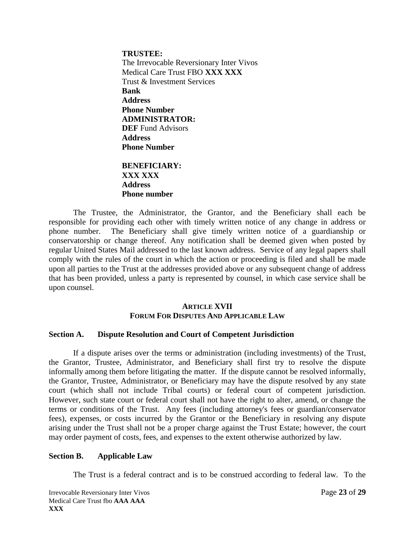**TRUSTEE:** The Irrevocable Reversionary Inter Vivos Medical Care Trust FBO **XXX XXX** Trust & Investment Services **Bank Address Phone Number ADMINISTRATOR: DEF** Fund Advisors **Address Phone Number**

## **BENEFICIARY: XXX XXX Address Phone number**

The Trustee, the Administrator, the Grantor, and the Beneficiary shall each be responsible for providing each other with timely written notice of any change in address or phone number. The Beneficiary shall give timely written notice of a guardianship or conservatorship or change thereof. Any notification shall be deemed given when posted by regular United States Mail addressed to the last known address. Service of any legal papers shall comply with the rules of the court in which the action or proceeding is filed and shall be made upon all parties to the Trust at the addresses provided above or any subsequent change of address that has been provided, unless a party is represented by counsel, in which case service shall be upon counsel.

### **ARTICLE XVII FORUM FOR DISPUTES AND APPLICABLE LAW**

#### **Section A. Dispute Resolution and Court of Competent Jurisdiction**

If a dispute arises over the terms or administration (including investments) of the Trust, the Grantor, Trustee, Administrator, and Beneficiary shall first try to resolve the dispute informally among them before litigating the matter. If the dispute cannot be resolved informally, the Grantor, Trustee, Administrator, or Beneficiary may have the dispute resolved by any state court (which shall not include Tribal courts) or federal court of competent jurisdiction. However, such state court or federal court shall not have the right to alter, amend, or change the terms or conditions of the Trust. Any fees (including attorney's fees or guardian/conservator fees), expenses, or costs incurred by the Grantor or the Beneficiary in resolving any dispute arising under the Trust shall not be a proper charge against the Trust Estate; however, the court may order payment of costs, fees, and expenses to the extent otherwise authorized by law.

#### **Section B. Applicable Law**

The Trust is a federal contract and is to be construed according to federal law. To the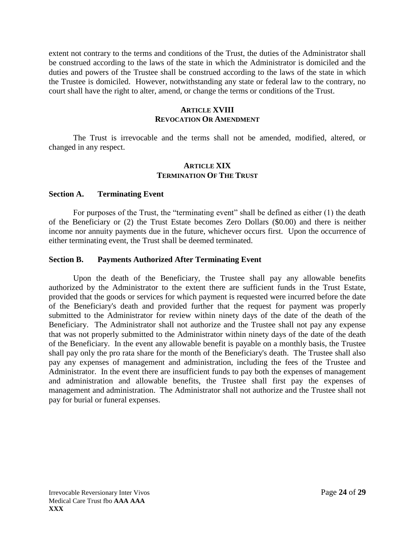extent not contrary to the terms and conditions of the Trust, the duties of the Administrator shall be construed according to the laws of the state in which the Administrator is domiciled and the duties and powers of the Trustee shall be construed according to the laws of the state in which the Trustee is domiciled. However, notwithstanding any state or federal law to the contrary, no court shall have the right to alter, amend, or change the terms or conditions of the Trust.

## **ARTICLE XVIII REVOCATION OR AMENDMENT**

The Trust is irrevocable and the terms shall not be amended, modified, altered, or changed in any respect.

#### **ARTICLE XIX TERMINATION OF THE TRUST**

#### **Section A. Terminating Event**

For purposes of the Trust, the "terminating event" shall be defined as either (1) the death of the Beneficiary or (2) the Trust Estate becomes Zero Dollars (\$0.00) and there is neither income nor annuity payments due in the future, whichever occurs first. Upon the occurrence of either terminating event, the Trust shall be deemed terminated.

#### **Section B. Payments Authorized After Terminating Event**

Upon the death of the Beneficiary, the Trustee shall pay any allowable benefits authorized by the Administrator to the extent there are sufficient funds in the Trust Estate, provided that the goods or services for which payment is requested were incurred before the date of the Beneficiary's death and provided further that the request for payment was properly submitted to the Administrator for review within ninety days of the date of the death of the Beneficiary. The Administrator shall not authorize and the Trustee shall not pay any expense that was not properly submitted to the Administrator within ninety days of the date of the death of the Beneficiary. In the event any allowable benefit is payable on a monthly basis, the Trustee shall pay only the pro rata share for the month of the Beneficiary's death. The Trustee shall also pay any expenses of management and administration, including the fees of the Trustee and Administrator. In the event there are insufficient funds to pay both the expenses of management and administration and allowable benefits, the Trustee shall first pay the expenses of management and administration. The Administrator shall not authorize and the Trustee shall not pay for burial or funeral expenses.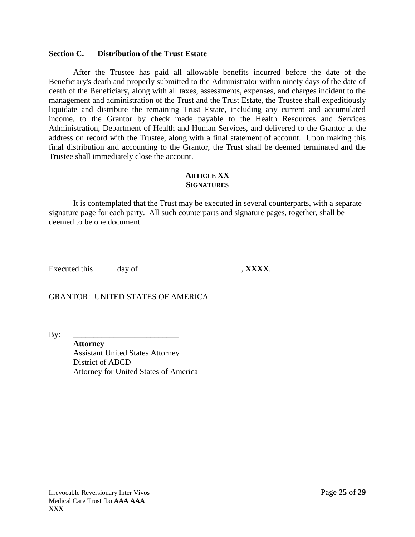#### **Section C. Distribution of the Trust Estate**

After the Trustee has paid all allowable benefits incurred before the date of the Beneficiary's death and properly submitted to the Administrator within ninety days of the date of death of the Beneficiary, along with all taxes, assessments, expenses, and charges incident to the management and administration of the Trust and the Trust Estate, the Trustee shall expeditiously liquidate and distribute the remaining Trust Estate, including any current and accumulated income, to the Grantor by check made payable to the Health Resources and Services Administration, Department of Health and Human Services, and delivered to the Grantor at the address on record with the Trustee, along with a final statement of account. Upon making this final distribution and accounting to the Grantor, the Trust shall be deemed terminated and the Trustee shall immediately close the account.

#### **ARTICLE XX SIGNATURES**

It is contemplated that the Trust may be executed in several counterparts, with a separate signature page for each party. All such counterparts and signature pages, together, shall be deemed to be one document.

Executed this \_\_\_\_\_ day of \_\_\_\_\_\_\_\_\_\_\_\_\_\_\_\_\_\_\_\_\_\_, **XXXX**.

GRANTOR: UNITED STATES OF AMERICA

By: \_\_\_\_\_\_\_\_\_\_\_\_\_\_\_\_\_\_\_\_\_\_\_\_\_\_

**Attorney** Assistant United States Attorney District of ABCD Attorney for United States of America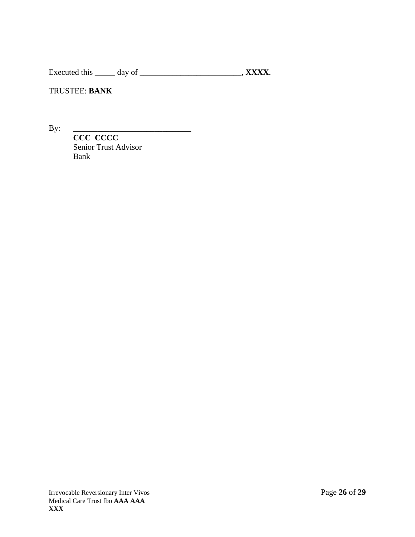Executed this \_\_\_\_\_\_ day of \_\_\_\_\_\_\_\_\_\_\_\_\_\_\_\_\_\_\_\_\_\_\_\_\_\_, **XXXX**.

TRUSTEE: **BANK**

By: \_\_\_\_\_\_\_\_\_\_\_\_\_\_\_\_\_\_\_\_\_\_\_\_\_\_\_\_\_

**CCC CCCC** Senior Trust Advisor Bank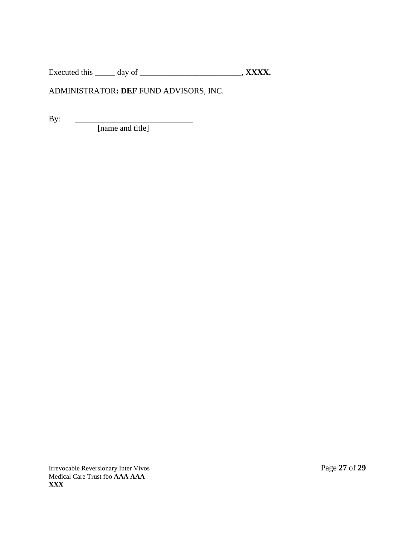Executed this \_\_\_\_\_ day of \_\_\_\_\_\_\_\_\_\_\_\_\_\_\_\_\_\_\_\_\_\_\_\_\_\_, **XXXX.** 

# ADMINISTRATOR**: DEF** FUND ADVISORS, INC.

By:  $\qquad \qquad$ 

[name and title]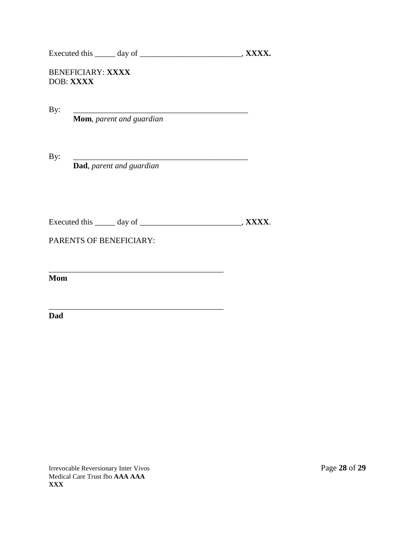Executed this \_\_\_\_\_\_ day of \_\_\_\_\_\_\_\_\_\_\_\_\_\_\_\_\_\_\_\_\_\_\_\_\_\_\_, **XXXX.** 

## BENEFICIARY: **XXXX** DOB: **XXXX**

By: \_\_\_\_\_\_\_\_\_\_\_\_\_\_\_\_\_\_\_\_\_\_\_\_\_\_\_\_\_\_\_\_\_\_\_\_\_\_\_\_\_\_\_

**Mom**, *parent and guardian*

By: \_\_\_\_\_\_\_\_\_\_\_\_\_\_\_\_\_\_\_\_\_\_\_\_\_\_\_\_\_\_\_\_\_\_\_\_\_\_\_\_\_\_\_

**Dad**, *parent and guardian*

| <b>Executed</b> this | dav of | . XXXX. |
|----------------------|--------|---------|
|                      |        |         |

\_\_\_\_\_\_\_\_\_\_\_\_\_\_\_\_\_\_\_\_\_\_\_\_\_\_\_\_\_\_\_\_\_\_\_\_\_\_\_\_\_\_\_

PARENTS OF BENEFICIARY:

\_\_\_\_\_\_\_\_\_\_\_\_\_\_\_\_\_\_\_\_\_\_\_\_\_\_\_\_\_\_\_\_\_\_\_\_\_\_\_\_\_\_\_ **Mom**

**Dad**